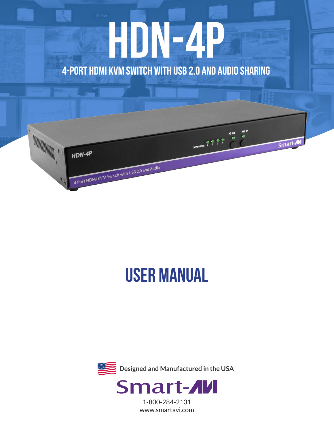# **HDN-4p 4-Port HDMI KVM Switch with USB 2.0 and Audio Sharing**



# **USER MANUAL**



1-800-284-2131 www.smartavi.com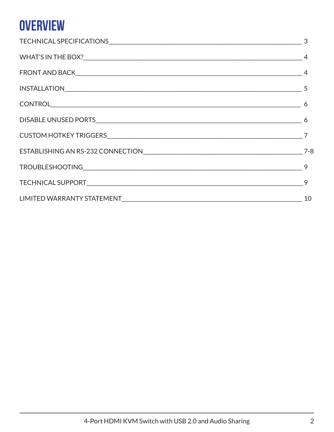## **OVERVIEW**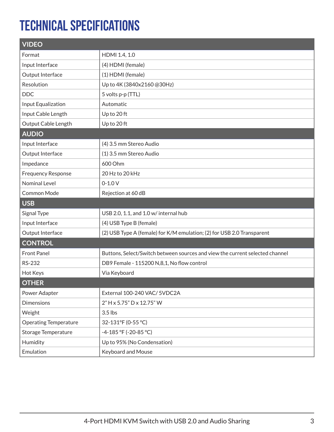### **Technical Specifications**

| <b>VIDEO</b>                 |                                                                              |  |
|------------------------------|------------------------------------------------------------------------------|--|
| Format                       | HDMI 1.4, 1.0                                                                |  |
| Input Interface              | (4) HDMI (female)                                                            |  |
| Output Interface             | (1) HDMI (female)                                                            |  |
| Resolution                   | Up to 4K (3840x2160 @30Hz)                                                   |  |
| <b>DDC</b>                   | 5 volts p-p (TTL)                                                            |  |
| Input Equalization           | Automatic                                                                    |  |
| Input Cable Length           | Up to 20 ft                                                                  |  |
| Output Cable Length          | Up to 20 ft                                                                  |  |
| <b>AUDIO</b>                 |                                                                              |  |
| Input Interface              | (4) 3.5 mm Stereo Audio                                                      |  |
| Output Interface             | (1) 3.5 mm Stereo Audio                                                      |  |
| Impedance                    | 600 Ohm                                                                      |  |
| <b>Frequency Response</b>    | 20 Hz to 20 kHz                                                              |  |
| <b>Nominal Level</b>         | $0 - 1.0 V$                                                                  |  |
| Common Mode                  | Rejection at 60 dB                                                           |  |
| <b>USB</b>                   |                                                                              |  |
| Signal Type                  | USB 2.0, 1.1, and 1.0 w/ internal hub                                        |  |
| Input Interface              | (4) USB Type B (female)                                                      |  |
| Output Interface             | (2) USB Type A (female) for K/M emulation; (2) for USB 2.0 Transparent       |  |
| <b>CONTROL</b>               |                                                                              |  |
| <b>Front Panel</b>           | Buttons, Select/Switch between sources and view the current selected channel |  |
| RS-232                       | DB9 Female - 115200 N,8,1, No flow control                                   |  |
| Hot Keys                     | Via Keyboard                                                                 |  |
| <b>OTHER</b>                 |                                                                              |  |
| Power Adapter                | External 100-240 VAC/ 5VDC2A                                                 |  |
| <b>Dimensions</b>            | 2" H x 5.75" D x 12.75" W                                                    |  |
| Weight                       | 3.5 lbs                                                                      |  |
| <b>Operating Temperature</b> | 32-131°F (0-55 °C)                                                           |  |
| <b>Storage Temperature</b>   | -4-185 °F (-20-85 °C)                                                        |  |
| Humidity                     | Up to 95% (No Condensation)                                                  |  |
| Emulation                    | Keyboard and Mouse                                                           |  |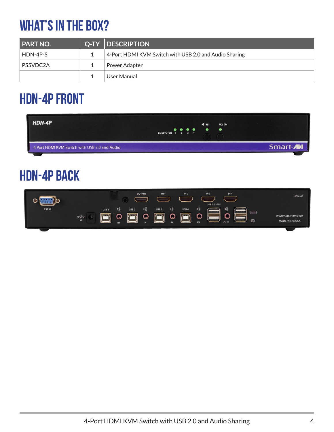## **What's in the box?**

| <b>PART NO.</b> | Q-TY  DESCRIPTION                                     |
|-----------------|-------------------------------------------------------|
| HDN-4P-S        | 4-Port HDMI KVM Switch with USB 2.0 and Audio Sharing |
| PS5VDC2A        | Power Adapter                                         |
|                 | User Manual                                           |

### **HDN-4P FRONT**

| HDN-4P                                        | M2<br>$\blacktriangleleft$ M1<br>$\bullet\hspace{0.1cm} \bullet\hspace{0.1cm} \bullet\hspace{0.1cm} \bullet$<br>$\bullet$<br>COMPUTER 1 2 3 4 |           |
|-----------------------------------------------|-----------------------------------------------------------------------------------------------------------------------------------------------|-----------|
| 4 Port HDMI KVM Switch with USB 2.0 and Audio |                                                                                                                                               | Smart-AVI |

### **HDN-4P BACK**

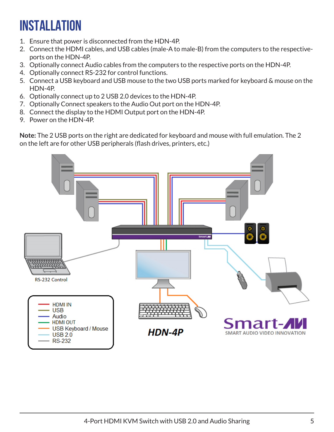# **INSTALLATION**

- 1. Ensure that power is disconnected from the HDN-4P.
- 2. Connect the HDMI cables, and USB cables (male-A to male-B) from the computers to the respectiveports on the HDN-4P.
- 3. Optionally connect Audio cables from the computers to the respective ports on the HDN-4P.
- 4. Optionally connect RS-232 for control functions.
- 5. Connect a USB keyboard and USB mouse to the two USB ports marked for keyboard & mouse on the HDN-4P.
- 6. Optionally connect up to 2 USB 2.0 devices to the HDN-4P.
- 7. Optionally Connect speakers to the Audio Out port on the HDN-4P.
- 8. Connect the display to the HDMI Output port on the HDN-4P.
- 9. Power on the HDN-4P.

**Note:** The 2 USB ports on the right are dedicated for keyboard and mouse with full emulation. The 2 on the left are for other USB peripherals (flash drives, printers, etc.)

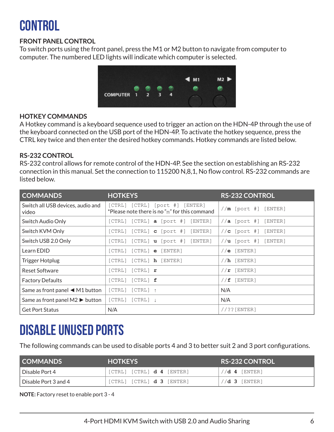## **control**

#### **FRONT PANEL CONTROL**

To switch ports using the front panel, press the M1 or M2 button to navigate from computer to computer. The numbered LED lights will indicate which computer is selected.



#### **HOTKEY COMMANDS**

A Hotkey command is a keyboard sequence used to trigger an action on the HDN-4P through the use of the keyboard connected on the USB port of the HDN-4P. To activate the hotkey sequence, press the CTRL key twice and then enter the desired hotkey commands. Hotkey commands are listed below.

#### **RS-232 CONTROL**

RS-232 control allows for remote control of the HDN-4P. See the section on establishing an RS-232 connection in this manual. Set the connection to 115200 N,8,1, No flow control. RS-232 commands are listed below.

| <b>COMMANDS</b>                                    | <b>HOTKEYS</b>                                                                         | <b>RS-232 CONTROL</b>       |
|----------------------------------------------------|----------------------------------------------------------------------------------------|-----------------------------|
| Switch all USB devices, audio and<br>video         | [CTRL] [CTRL] [port #] [ENTER]<br>$*$ Please note there is no " $m$ " for this command | $//m$ [port #] [ENTER]      |
| Switch Audio Only                                  | $[CTRL]$ $[CTRL]$ <b>a</b> $[port #]$ $[ENTER]$                                        | $//a [port \#]]$<br>[ENTER] |
| Switch KVM Only                                    | $[CTRL]$ $[CTRL]$ <b>c</b> $[port #]$ $[ENTER]$                                        | [ENTER]<br>// $c$ [port #]  |
| Switch USB 2.0 Only                                | $[CTRL]$ $[CTRL]$ <b>u</b> $[port #]$ $[ENTER]$                                        | $//u$ [port #] [ENTER]      |
| Learn EDID                                         | $[CTRL]$ $[CTRL]$ $\boldsymbol{e}$ $[ENTER]$                                           | $//e$ [ENTER]               |
| <b>Trigger Hotplug</b>                             | [CTRL] [CTRL] <b>h</b> [ENTER]                                                         | $//h$ [ENTER]               |
| <b>Reset Software</b>                              | $[CTRL]$ $[CTRL]$ $\mathbf{r}$                                                         | [ENTER]<br>//r              |
| <b>Factory Defaults</b>                            | $[CTRL]$ $[CTRL]$ $f$                                                                  | [ENTER]<br>//f              |
| Same as front panel $\blacktriangleleft$ M1 button | [CTRL]<br>$[CFRL]$ 1                                                                   | N/A                         |
| Same as front panel $M2 \triangleright$ button     | $[CTRL]$ $[CTRL]$ $\downarrow$                                                         | N/A                         |
| <b>Get Port Status</b>                             | N/A                                                                                    | $//$ ?? [ENTER]             |

### **Disable Unused Ports**

The following commands can be used to disable ports 4 and 3 to better suit 2 and 3 port configurations.

| <b>COMMANDS</b>      | <b>HOTKEYS</b>                         | <b>RS-232 CONTROL</b> |
|----------------------|----------------------------------------|-----------------------|
| l Disable Port 4     | $[CTRL]$ $[CTRL]$ <b>d 4</b> $[ENTER]$ | $//d 4$ [ENTER]       |
| Disable Port 3 and 4 | $[CTRL]$ $[CTRL]$ <b>d 3</b> $[ENTER]$ | $//d$ 3 [ENTER]       |

**NOTE:** Factory reset to enable port 3 - 4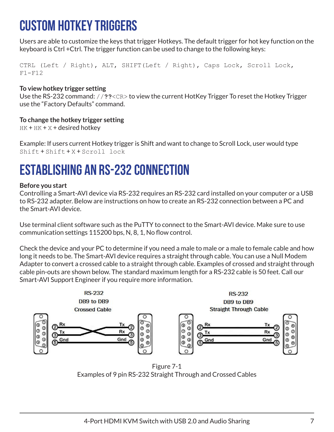### **Custom HotKey Triggers**

Users are able to customize the keys that trigger Hotkeys. The default trigger for hot key function on the keyboard is Ctrl +Ctrl. The trigger function can be used to change to the following keys:

CTRL (Left / Right), ALT, SHIFT(Left / Right), Caps Lock, Scroll Lock,  $F1-F12$ 

#### **To view hotkey trigger setting**

Use the RS-232 command: //**??**<CR> to view the current HotKey Trigger To reset the Hotkey Trigger use the "Factory Defaults" command.

#### **To change the hotkey trigger setting**

 $HK + HK + X + desired$  hotkey

Example: If users current Hotkey trigger is Shift and want to change to Scroll Lock, user would type Shift + Shift + X + Scroll lock

### **ESTABLISHING AN RS-232 CONNECTION**

#### **Before you start**

Controlling a Smart-AVI device via RS-232 requires an RS-232 card installed on your computer or a USB to RS-232 adapter. Below are instructions on how to create an RS-232 connection between a PC and the Smart-AVI device.

Use terminal client software such as the PuTTY to connect to the Smart-AVI device. Make sure to use communication settings 115200 bps, N, 8, 1, No flow control.

Check the device and your PC to determine if you need a male to male or a male to female cable and how long it needs to be. The Smart-AVI device requires a straight through cable. You can use a Null Modem Adapter to convert a crossed cable to a straight through cable. Examples of crossed and straight through cable pin-outs are shown below. The standard maximum length for a RS-232 cable is 50 feet. Call our Smart-AVI Support Engineer if you require more information.



Figure 7-1 Examples of 9 pin RS-232 Straight Through and Crossed Cables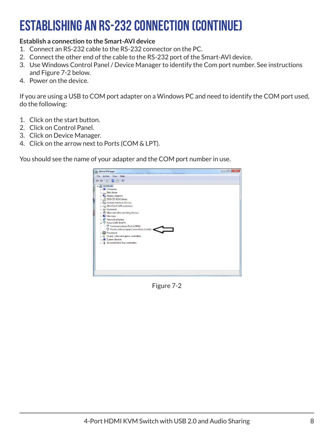### **ESTABLISHING AN RS-232 CONNECTION (continue)**

#### **Establish a connection to the Smart-AVI device**

- 1. Connect an RS-232 cable to the RS-232 connector on the PC.
- 2. Connect the other end of the cable to the RS-232 port of the Smart-AVI device.
- 3. Use Windows Control Panel / Device Manager to identify the Com port number. See instructions and Figure 7-2 below.
- 4. Power on the device.

If you are using a USB to COM port adapter on a Windows PC and need to identify the COM port used, do the following:

- 1. Click on the start button.
- 2. Click on Control Panel.
- 3. Click on Device Manager.
- 4. Click on the arrow next to Ports (COM & LPT).

You should see the name of your adapter and the COM port number in use.



Figure 7-2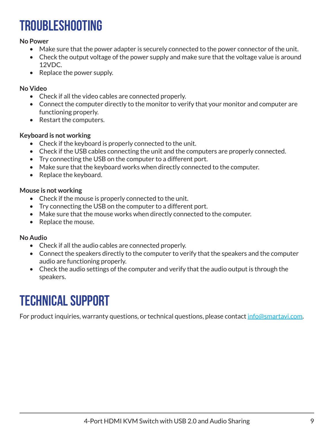### **Troubleshooting**

#### **No Power**

- Make sure that the power adapter is securely connected to the power connector of the unit.
- Check the output voltage of the power supply and make sure that the voltage value is around 12VDC.
- Replace the power supply.

#### **No Video**

- Check if all the video cables are connected properly.
- Connect the computer directly to the monitor to verify that your monitor and computer are functioning properly.
- Restart the computers.

#### **Keyboard is not working**

- Check if the keyboard is properly connected to the unit.
- Check if the USB cables connecting the unit and the computers are properly connected.
- Try connecting the USB on the computer to a different port.
- Make sure that the keyboard works when directly connected to the computer.
- Replace the keyboard.

#### **Mouse is not working**

- Check if the mouse is properly connected to the unit.
- Try connecting the USB on the computer to a different port.
- Make sure that the mouse works when directly connected to the computer.
- Replace the mouse.

#### **No Audio**

- Check if all the audio cables are connected properly.
- Connect the speakers directly to the computer to verify that the speakers and the computer audio are functioning properly.
- Check the audio settings of the computer and verify that the audio output is through the speakers.

### **Technical support**

For product inquiries, warranty questions, or technical questions, please contact info@smartavi.com.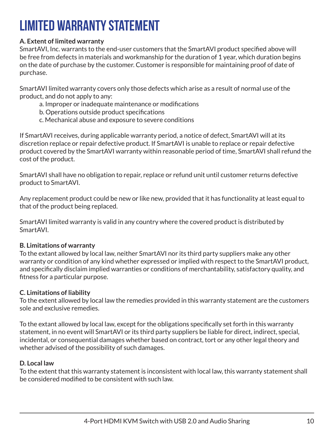### **Limited warranty statement**

#### **A. Extent of limited warranty**

SmartAVI, Inc. warrants to the end-user customers that the SmartAVI product specified above will be free from defects in materials and workmanship for the duration of 1 year, which duration begins on the date of purchase by the customer. Customer is responsible for maintaining proof of date of purchase.

SmartAVI limited warranty covers only those defects which arise as a result of normal use of the product, and do not apply to any:

- a. Improper or inadequate maintenance or modifications
- b. Operations outside product specifications
- c. Mechanical abuse and exposure to severe conditions

If SmartAVI receives, during applicable warranty period, a notice of defect, SmartAVI will at its discretion replace or repair defective product. If SmartAVI is unable to replace or repair defective product covered by the SmartAVI warranty within reasonable period of time, SmartAVI shall refund the cost of the product.

SmartAVI shall have no obligation to repair, replace or refund unit until customer returns defective product to SmartAVI.

Any replacement product could be new or like new, provided that it has functionality at least equal to that of the product being replaced.

SmartAVI limited warranty is valid in any country where the covered product is distributed by SmartAVI.

#### **B. Limitations of warranty**

To the extant allowed by local law, neither SmartAVI nor its third party suppliers make any other warranty or condition of any kind whether expressed or implied with respect to the SmartAVI product, and specifically disclaim implied warranties or conditions of merchantability, satisfactory quality, and fitness for a particular purpose.

#### **C. Limitations of liability**

To the extent allowed by local law the remedies provided in this warranty statement are the customers sole and exclusive remedies.

To the extant allowed by local law, except for the obligations specifically set forth in this warranty statement, in no event will SmartAVI or its third party suppliers be liable for direct, indirect, special, incidental, or consequential damages whether based on contract, tort or any other legal theory and whether advised of the possibility of such damages.

#### **D. Local law**

To the extent that this warranty statement is inconsistent with local law, this warranty statement shall be considered modified to be consistent with such law.